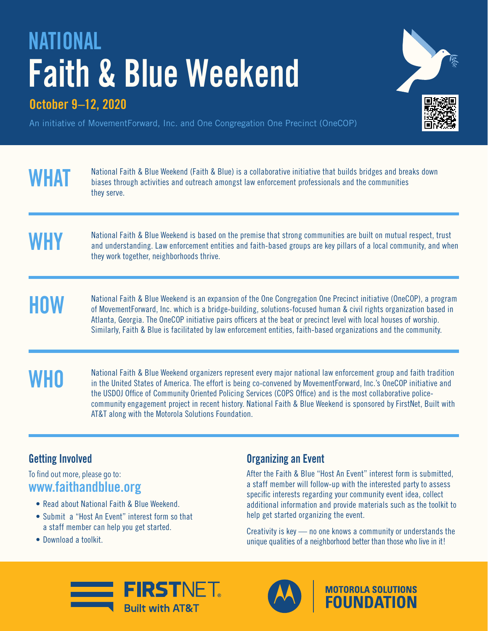# **NATIONAL Faith & Blue Weekend**

## **October 9–12, 2020**



An initiative of MovementForward, Inc. and One Congregation One Precinct (OneCOP)

**WHAT** National Faith & Blue Weekend (Faith & Blue) is a collaborative initiative that builds bridges and breaks down<br>biases through activities and outreach amongst law enforcement professionals and the communities they serve.

# MHY Mational Faith & Blue Weekend is based on the premise that strong communities are built on mutual respect, trust<br>and understanding. Law enforcement entities and faith-based groups are key pillars of a local community, they work together, neighborhoods thrive.

Mational Faith & Blue Weekend is an expansion of the One Congregation One Precinct initiative (OneCOP), a program<br>of MovementForward, Inc. which is a bridge-building, solutions-focused human & civil rights organization bas Atlanta, Georgia. The OneCOP initiative pairs officers at the beat or precinct level with local houses of worship. Similarly, Faith & Blue is facilitated by law enforcement entities, faith-based organizations and the community.

**WHO** National Faith & Blue Weekend organizers represent every major national law enforcement group and faith tradition<br>In the United States of America. The effort is being co-convened by MovementForward. Inc.'s OneCOP ini in the United States of America. The effort is being co-convened by MovementForward, Inc.'s OneCOP initiative and the USDOJ Office of Community Oriented Policing Services (COPS Office) and is the most collaborative policecommunity engagement project in recent history. National Faith & Blue Weekend is sponsored by FirstNet, Built with AT&T along with the Motorola Solutions Foundation.

### **Getting Involved**

#### To find out more, please go to: **www.faithandblue.org**

- Read about National Faith & Blue Weekend.
- Submit a "Host An Event" interest form so that a staff member can help you get started.
- Download a toolkit.

### **Organizing an Event**

After the Faith & Blue "Host An Event" interest form is submitted, a staff member will follow-up with the interested party to assess specific interests regarding your community event idea, collect additional information and provide materials such as the toolkit to help get started organizing the event.

Creativity is key — no one knows a community or understands the unique qualities of a neighborhood better than those who live in it!